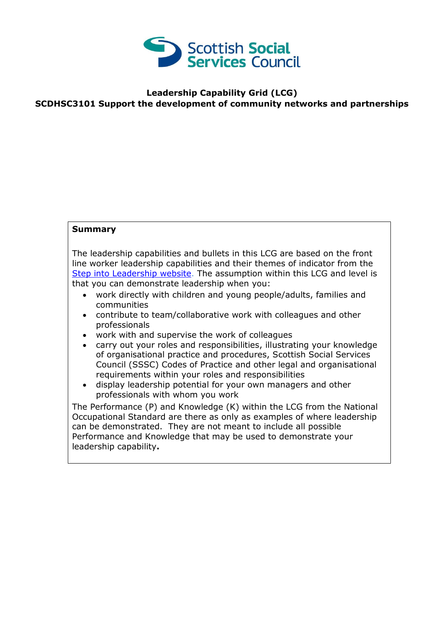

## **Leadership Capability Grid (LCG) SCDHSC3101 Support the development of community networks and partnerships**

## **Summary**

The leadership capabilities and bullets in this LCG are based on the front line worker leadership capabilities and their themes of indicator from the [Step into Leadership website.](http://www.stepintoleadership.info/) The assumption within this LCG and level is that you can demonstrate leadership when you:

- work directly with children and young people/adults, families and communities
- contribute to team/collaborative work with colleagues and other professionals
- work with and supervise the work of colleagues
- carry out your roles and responsibilities, illustrating your knowledge of organisational practice and procedures, Scottish Social Services Council (SSSC) Codes of Practice and other legal and organisational requirements within your roles and responsibilities
- display leadership potential for your own managers and other professionals with whom you work

The Performance (P) and Knowledge (K) within the LCG from the National Occupational Standard are there as only as examples of where leadership can be demonstrated. They are not meant to include all possible Performance and Knowledge that may be used to demonstrate your leadership capability**.**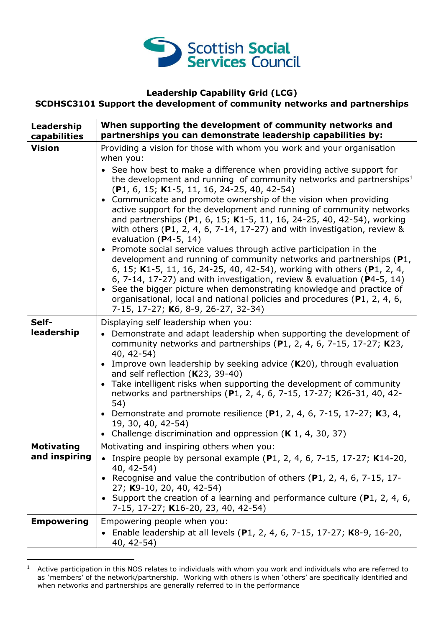

## **Leadership Capability Grid (LCG)**

**SCDHSC3101 Support the development of community networks and partnerships**

| Leadership<br>capabilities | When supporting the development of community networks and<br>partnerships you can demonstrate leadership capabilities by:                                                                                                                                                                                                                                                                                                                                                                                                                                                                                                                                                                                                                                                                                                                                                                                                                                                                                                            |
|----------------------------|--------------------------------------------------------------------------------------------------------------------------------------------------------------------------------------------------------------------------------------------------------------------------------------------------------------------------------------------------------------------------------------------------------------------------------------------------------------------------------------------------------------------------------------------------------------------------------------------------------------------------------------------------------------------------------------------------------------------------------------------------------------------------------------------------------------------------------------------------------------------------------------------------------------------------------------------------------------------------------------------------------------------------------------|
| <b>Vision</b>              | Providing a vision for those with whom you work and your organisation<br>when you:                                                                                                                                                                                                                                                                                                                                                                                                                                                                                                                                                                                                                                                                                                                                                                                                                                                                                                                                                   |
|                            | See how best to make a difference when providing active support for<br>the development and running of community networks and partnerships <sup>1</sup><br>$(P1, 6, 15; K1-5, 11, 16, 24-25, 40, 42-54)$<br>• Communicate and promote ownership of the vision when providing<br>active support for the development and running of community networks<br>and partnerships (P1, 6, 15; K1-5, 11, 16, 24-25, 40, 42-54), working<br>with others $(P1, 2, 4, 6, 7-14, 17-27)$ and with investigation, review &<br>evaluation ( $P4-5$ , 14)<br>Promote social service values through active participation in the<br>development and running of community networks and partnerships (P1,<br>6, 15; K1-5, 11, 16, 24-25, 40, 42-54), working with others (P1, 2, 4,<br>6, 7-14, 17-27) and with investigation, review & evaluation ( $P4-5$ , 14)<br>See the bigger picture when demonstrating knowledge and practice of<br>organisational, local and national policies and procedures (P1, 2, 4, 6,<br>7-15, 17-27; K6, 8-9, 26-27, 32-34) |
| Self-                      | Displaying self leadership when you:                                                                                                                                                                                                                                                                                                                                                                                                                                                                                                                                                                                                                                                                                                                                                                                                                                                                                                                                                                                                 |
| leadership                 | Demonstrate and adapt leadership when supporting the development of<br>community networks and partnerships $(P1, 2, 4, 6, 7-15, 17-27; K23,$<br>40, 42-54)                                                                                                                                                                                                                                                                                                                                                                                                                                                                                                                                                                                                                                                                                                                                                                                                                                                                           |
|                            | Improve own leadership by seeking advice $(K20)$ , through evaluation<br>and self reflection (K23, 39-40)                                                                                                                                                                                                                                                                                                                                                                                                                                                                                                                                                                                                                                                                                                                                                                                                                                                                                                                            |
|                            | Take intelligent risks when supporting the development of community<br>networks and partnerships (P1, 2, 4, 6, 7-15, 17-27; K26-31, 40, 42-<br>54)                                                                                                                                                                                                                                                                                                                                                                                                                                                                                                                                                                                                                                                                                                                                                                                                                                                                                   |
|                            | • Demonstrate and promote resilience (P1, 2, 4, 6, 7-15, 17-27; K3, 4,<br>19, 30, 40, 42-54)                                                                                                                                                                                                                                                                                                                                                                                                                                                                                                                                                                                                                                                                                                                                                                                                                                                                                                                                         |
|                            | • Challenge discrimination and oppression ( $K$ 1, 4, 30, 37)                                                                                                                                                                                                                                                                                                                                                                                                                                                                                                                                                                                                                                                                                                                                                                                                                                                                                                                                                                        |
| <b>Motivating</b>          | Motivating and inspiring others when you:                                                                                                                                                                                                                                                                                                                                                                                                                                                                                                                                                                                                                                                                                                                                                                                                                                                                                                                                                                                            |
| and inspiring              | • Inspire people by personal example (P1, 2, 4, 6, 7-15, 17-27; K14-20,<br>40, 42-54)                                                                                                                                                                                                                                                                                                                                                                                                                                                                                                                                                                                                                                                                                                                                                                                                                                                                                                                                                |
|                            | Recognise and value the contribution of others (P1, 2, 4, 6, 7-15, 17-<br>27; K9-10, 20, 40, 42-54)                                                                                                                                                                                                                                                                                                                                                                                                                                                                                                                                                                                                                                                                                                                                                                                                                                                                                                                                  |
|                            | • Support the creation of a learning and performance culture (P1, 2, 4, 6,<br>7-15, 17-27; K16-20, 23, 40, 42-54)                                                                                                                                                                                                                                                                                                                                                                                                                                                                                                                                                                                                                                                                                                                                                                                                                                                                                                                    |
| <b>Empowering</b>          | Empowering people when you:                                                                                                                                                                                                                                                                                                                                                                                                                                                                                                                                                                                                                                                                                                                                                                                                                                                                                                                                                                                                          |
|                            | Enable leadership at all levels (P1, 2, 4, 6, 7-15, 17-27; K8-9, 16-20,<br>40, 42-54)                                                                                                                                                                                                                                                                                                                                                                                                                                                                                                                                                                                                                                                                                                                                                                                                                                                                                                                                                |

 $1$  Active participation in this NOS relates to individuals with whom you work and individuals who are referred to as 'members' of the network/partnership. Working with others is when 'others' are specifically identified and when networks and partnerships are generally referred to in the performance

-